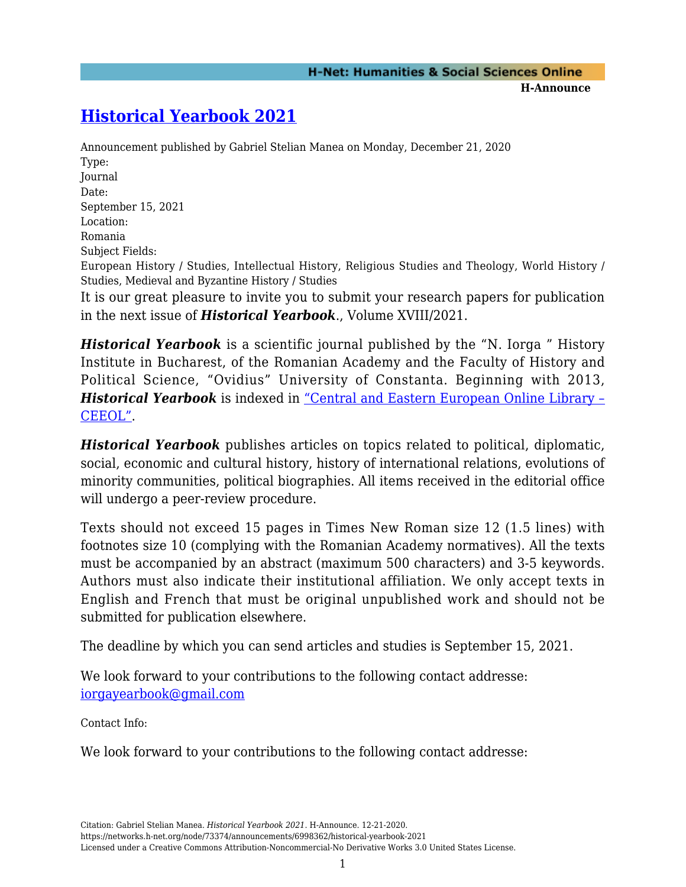## **[Historical Yearbook 2021](https://networks.h-net.org/node/73374/announcements/6998362/historical-yearbook-2021)**

Announcement published by Gabriel Stelian Manea on Monday, December 21, 2020 Type: Journal Date: September 15, 2021 Location: Romania Subject Fields: European History / Studies, Intellectual History, Religious Studies and Theology, World History / Studies, Medieval and Byzantine History / Studies It is our great pleasure to invite you to submit your research papers for publication in the next issue of *Historical Yearbook*., Volume XVIII/2021.

*Historical Yearbook* is a scientific journal published by the "N. Iorga " History Institute in Bucharest, of the Romanian Academy and the Faculty of History and Political Science, "Ovidius" University of Constanta. Beginning with 2013, *Historical Yearbook* is indexed in ["Central and Eastern European Online Library –](https://www.ceeol.com/search/journal-detail?id=1073) [CEEOL".](https://www.ceeol.com/search/journal-detail?id=1073)

*Historical Yearbook* publishes articles on topics related to political, diplomatic, social, economic and cultural history, history of international relations, evolutions of minority communities, political biographies. All items received in the editorial office will undergo a peer-review procedure.

Texts should not exceed 15 pages in Times New Roman size 12 (1.5 lines) with footnotes size 10 (complying with the Romanian Academy normatives). All the texts must be accompanied by an abstract (maximum 500 characters) and 3-5 keywords. Authors must also indicate their institutional affiliation. We only accept texts in English and French that must be original unpublished work and should not be submitted for publication elsewhere.

The deadline by which you can send articles and studies is September 15, 2021.

We look forward to your contributions to the following contact addresse: [iorgayearbook@gmail.com](mailto:iorgayearbook@gmail.com)

Contact Info:

We look forward to your contributions to the following contact addresse: